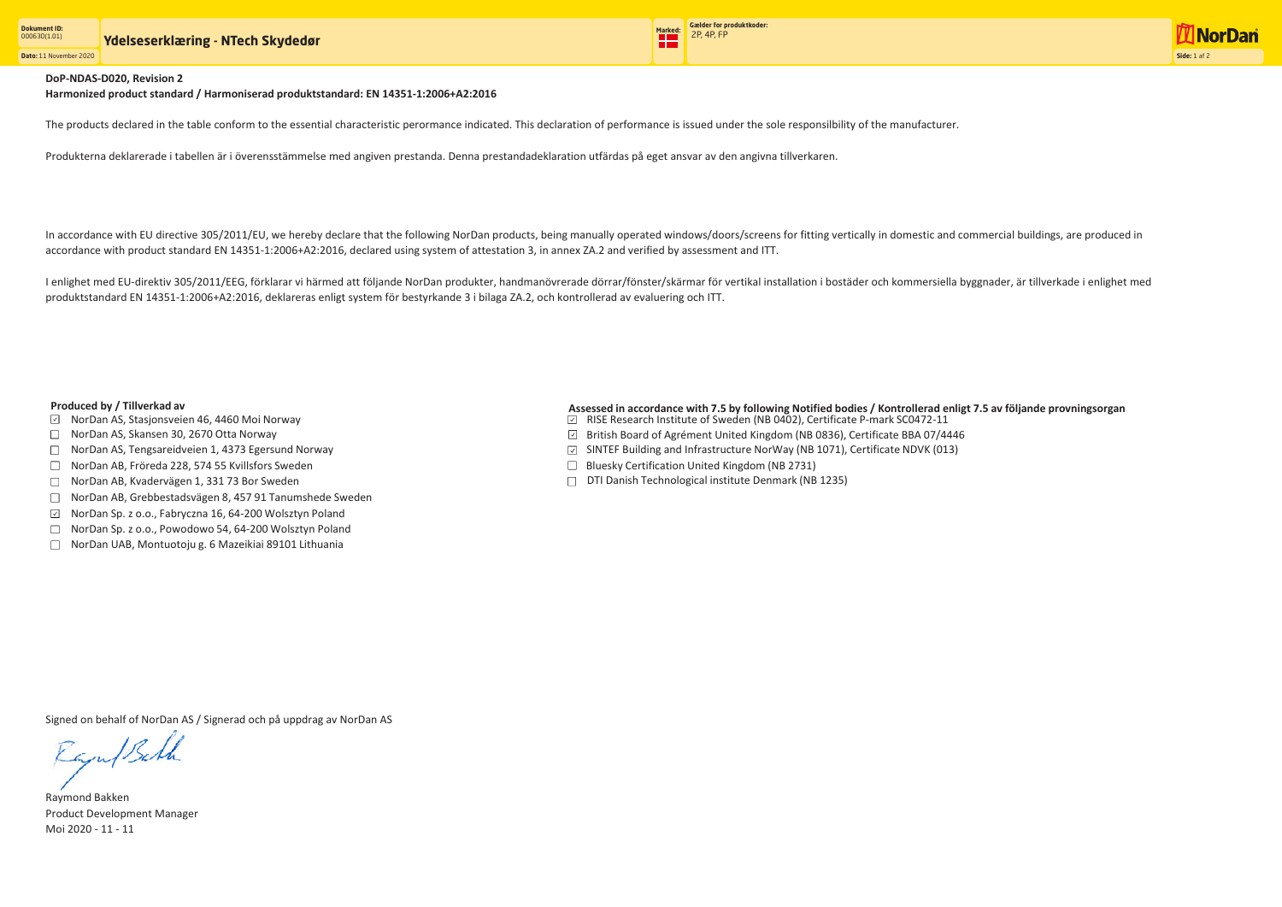**Dato:** 11 November 2020



## **DoP-NDAS-D020, Revision 2**

**Harmonized product standard / Harmoniserad produktstandard: EN 14351-1:2006+A2:2016**

The products declared in the table conform to the essential characteristic perormance indicated. This declaration of performance is issued under the sole responsilbility of the manufacturer.

Produkterna deklarerade i tabellen är i överensstämmelse med angiven prestanda. Denna prestandadeklaration utfärdas på eget ansvar av den angivna tillverkaren.

I enlighet med EU-direktiv 305/2011/EEG, förklarar vi härmed att följande NorDan produkter, handmanövrerade dörrar/fönster/skärmar för vertikal installation i bostäder och kommersiella byggnader, är tillverkade i enlighet produktstandard EN 14351-1:2006+A2:2016, deklareras enligt system för bestyrkande 3 i bilaga ZA.2, och kontrollerad av evaluering och ITT.

Signed on behalf of NorDan AS / Signerad och på uppdrag av NorDan AS

Raju/Bath

Raymond Bakken Product Development Manager Moi 2020 - 11 - 11

In accordance with EU directive 305/2011/EU, we hereby declare that the following NorDan products, being manually operated windows/doors/screens for fitting vertically in domestic and commercial buildings, are produced in accordance with product standard EN 14351-1:2006+A2:2016, declared using system of attestation 3, in annex ZA.2 and verified by assessment and ITT.

- $\boxdot$  NorDan AS, Stasjonsveien 46, 4460 Moi Norway
- □ NorDan AS, Skansen 30, 2670 Otta Norway
- □ NorDan AS, Tengsareidveien 1, 4373 Egersund Norway
- □ NorDan AB, Fröreda 228, 574 55 Kvillsfors Sweden
- □ NorDan AB, Kvadervägen 1, 331 73 Bor Sweden
- NorDan AB, Grebbestadsvägen 8, 457 91 Tanumshede Sweden
- $\checkmark$ NorDan Sp. z o.o., Fabryczna 16, 64-200 Wolsztyn Poland
- □ NorDan Sp. z o.o., Powodowo 54, 64-200 Wolsztyn Poland
- NorDan UAB, Montuotoju g. 6 Mazeikiai 89101 Lithuania
- RISE Research Institute of Sweden (NB 0402), Certificate P-mark SC0472-11
- British Board of Agrément United Kingdom (NB 0836), Certificate BBA 07/4446
- $\boxdot$  SINTEF Building and Infrastructure NorWay (NB 1071), Certificate NDVK (013)
- $\Box$  Bluesky Certification United Kingdom (NB 2731)
- $\Box$  DTI Danish Technological institute Denmark (NB 1235)

## **Produced by / Tillverkad av Assessed in accordance with 7.5 by following Notified bodies / Kontrollerad enligt 7.5 av följande provningsorgan**